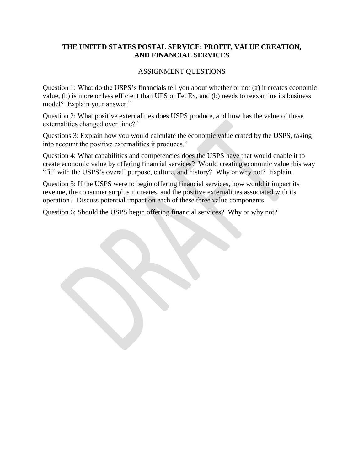## **THE UNITED STATES POSTAL SERVICE: PROFIT, VALUE CREATION, AND FINANCIAL SERVICES**

## ASSIGNMENT QUESTIONS

Question 1: What do the USPS's financials tell you about whether or not (a) it creates economic value, (b) is more or less efficient than UPS or FedEx, and (b) needs to reexamine its business model? Explain your answer."

Question 2: What positive externalities does USPS produce, and how has the value of these externalities changed over time?"

Questions 3: Explain how you would calculate the economic value crated by the USPS, taking into account the positive externalities it produces."

Question 4: What capabilities and competencies does the USPS have that would enable it to create economic value by offering financial services? Would creating economic value this way "fit" with the USPS's overall purpose, culture, and history? Why or why not? Explain.

Question 5: If the USPS were to begin offering financial services, how would it impact its revenue, the consumer surplus it creates, and the positive externalities associated with its operation? Discuss potential impact on each of these three value components.

Question 6: Should the USPS begin offering financial services? Why or why not?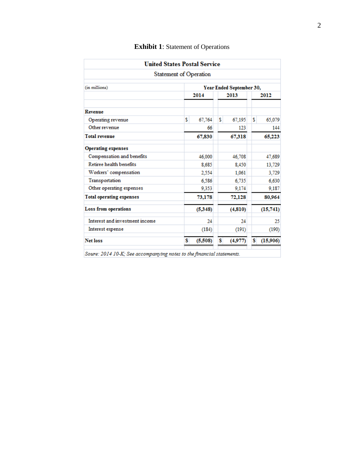| <b>United States Postal Service</b>                                                                                      |      |                          |      |         |      |          |  |
|--------------------------------------------------------------------------------------------------------------------------|------|--------------------------|------|---------|------|----------|--|
| <b>Statement of Operation</b>                                                                                            |      |                          |      |         |      |          |  |
| (in millions)                                                                                                            |      | Year Ended September 30, |      |         |      |          |  |
|                                                                                                                          | 2014 |                          | 2013 |         | 2012 |          |  |
| <b>Revenue</b>                                                                                                           |      |                          |      |         |      |          |  |
| Operating revenue                                                                                                        | \$   | 67,764                   | s    | 67,195  | \$   | 65,079   |  |
| Other revenue                                                                                                            |      | 66                       |      | 123     |      | 144      |  |
| <b>Total revenue</b>                                                                                                     |      | 67,830                   |      | 67,318  |      | 65,223   |  |
| <b>Operating expenses</b>                                                                                                |      |                          |      |         |      |          |  |
| Compensation and benefits                                                                                                |      | 46,000                   |      | 46,708  |      | 47,689   |  |
| Retiree health benefits                                                                                                  |      | 8,685                    |      | 8,450   |      | 13,729   |  |
| Workers' compensation                                                                                                    |      | 2,554                    |      | 1,061   |      | 3,729    |  |
| Transportation                                                                                                           |      | 6,586                    |      | 6.735   |      | 6,630    |  |
| Other operating expenses                                                                                                 |      | 9,353                    |      | 9,174   |      | 9,187    |  |
| <b>Total operating expenses</b>                                                                                          |      | 73,178                   |      | 72,128  |      | 80,964   |  |
| <b>Loss from operations</b>                                                                                              |      | (5, 348)                 |      | (4,810) |      | (15,741) |  |
| Interest and investment income                                                                                           |      | 24                       |      | 24      |      | 25       |  |
| Interest expense                                                                                                         |      | (184)                    |      | (191)   |      | (190)    |  |
| <b>Net loss</b>                                                                                                          | \$   | (5,508)                  | \$   | (4,977) | \$   | (15,906) |  |
| $\mathcal{S}_{\text{GUPG}}$ : $2014.10$ $V_1$ , $\mathcal{S}_{\text{GQ}}$ accompaining votes to the financial statements |      |                          |      |         |      |          |  |

## **Exhibit 1**: Statement of Operations

Soure: 2014 10-K; See accompanying notes to the financial statements.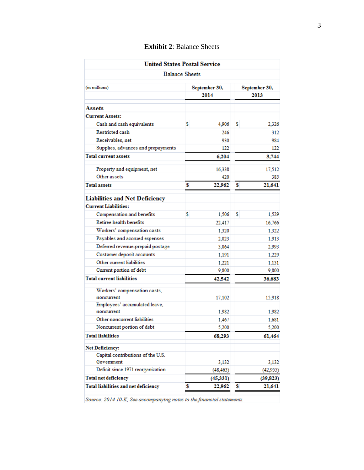|                                             | <b>United States Postal Service</b> |                       |  |
|---------------------------------------------|-------------------------------------|-----------------------|--|
|                                             | <b>Balance Sheets</b>               |                       |  |
| (in millions)                               | September 30,<br>2014               | September 30,<br>2013 |  |
|                                             |                                     |                       |  |
| Assets                                      |                                     |                       |  |
| <b>Current Assets:</b>                      |                                     |                       |  |
| Cash and cash equivalents                   | \$<br>4,906                         | \$<br>2,326           |  |
| <b>Restricted cash</b>                      | 246                                 | 312                   |  |
| Receivables, net                            | 930                                 | 984                   |  |
| Supplies, advances and prepayments          | 122                                 | 122                   |  |
| <b>Total current assets</b>                 | 6,204                               | 3,744                 |  |
| Property and equipment, net                 | 16,338                              | 17,512                |  |
| Other assets                                | 420                                 | 385                   |  |
| <b>Total assets</b>                         | 22,962<br>\$                        | 21,641<br>s           |  |
| <b>Liabilities and Net Deficiency</b>       |                                     |                       |  |
| <b>Current Liabilities:</b>                 |                                     |                       |  |
| Compensation and benefits                   | \$<br>1.506                         | \$<br>1,529           |  |
| <b>Retiree health benefits</b>              | 22,417                              | 16,766                |  |
| Workers' compensation costs                 | 1,320                               | 1,322                 |  |
| Payables and accrued expenses               | 2,023                               | 1,913                 |  |
| Deferred revenue-prepaid postage            | 3,064                               | 2,993                 |  |
| Customer deposit accounts                   | 1,191                               | 1,229                 |  |
| Other current liabilities                   | 1.221                               | 1,131                 |  |
| Current portion of debt                     | 9,800                               | 9,800                 |  |
| <b>Total current liabilities</b>            | 42,542                              | 36,683                |  |
| Workers' compensation costs,<br>noncurrent  | 17,102                              | 15,918                |  |
| Employees' accumulated leave,<br>noncurrent | 1.982                               | 1,982                 |  |
| Other noncurrent liabilities                | 1,467                               | 1,681                 |  |
| Noncurrent portion of debt                  | 5,200                               | 5,200                 |  |
| <b>Total liabilities</b>                    | 68,293                              | 61,464                |  |
| <b>Net Deficiency:</b>                      |                                     |                       |  |
| Capital contributions of the U.S.           |                                     |                       |  |
| Government                                  | 3,132                               | 3,132                 |  |
| Deficit since 1971 reorganization           | (48, 463)                           | (42,955)              |  |
| <b>Total net deficiency</b>                 | (45, 331)                           | (39, 823)             |  |
| <b>Total liabilities and net deficiency</b> | \$<br>22,962                        | \$<br>21,641          |  |

## **Exhibit 2**: Balance Sheets

Source: 2014 10-K; See accompanying notes to the financial statements.